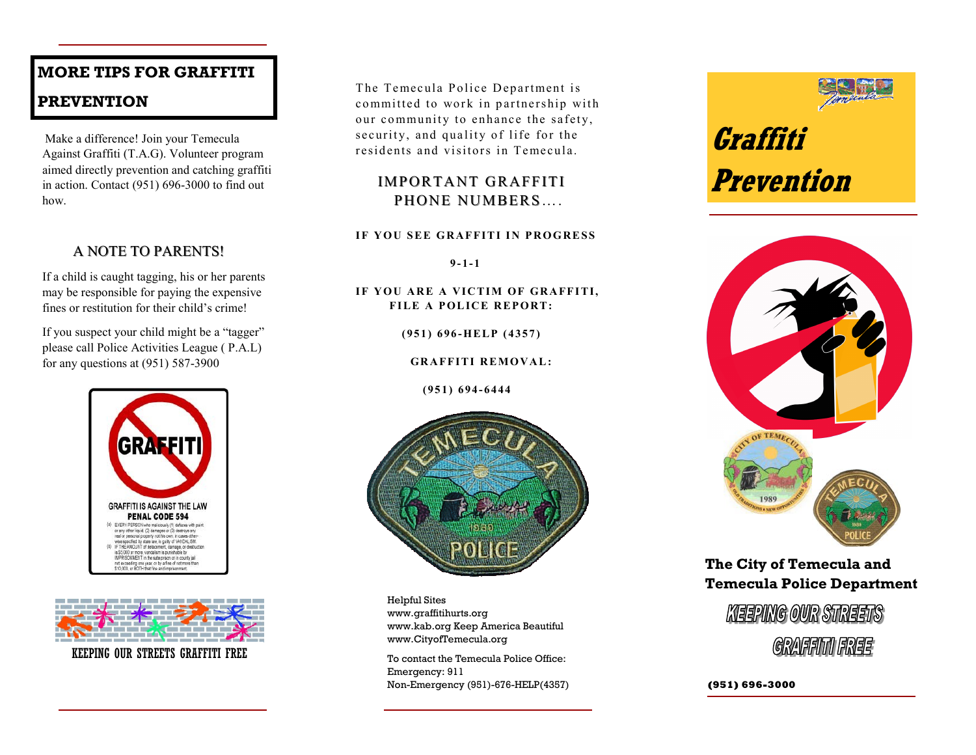### **MORE TIPS FOR GRAFFITI**

### **PREVENTION**

Make a difference! Join your Temecula Against Graffiti (T.A.G). Volunteer program aimed directly prevention and catching graffiti in action. Contact (951) 696-3000 to find out how.

### A NOTE TO PARENTS!

If a child is caught tagging, his or her parents may be responsible for paying the expensive fines or restitution for their child's crime!

If you suspect your child might be a "tagger" please call Police Activities League ( P.A.L) for any questions at (951) 587-3900





KEEPING OUR STREETS GRAFFITI FREE

The Temecula Police Department is committed to work in partnership with our community to enhance the safety, security, and quality of life for the residents and visitors in Temecula.

### IMPORTANT GRAFFITI PHONE NUMBERS....

#### **IF YOU SEE GRAFFITI IN PROGRESS**

 $9 - 1 - 1$ 

IF YOU ARE A VICTIM OF GRAFFITI, **FILE A POLICE REPORT:** 

 **( 9 5 1 ) 6 9 6 -HE LP ( 4 3 5 7 )** 

**GRAFFITI REMOVAL:** 

 **(9 5 1 ) 6 9 4 - 6444**



Helpful Sites www.graffitihurts.org www.kab.org Keep America Beautiful www.CityofTemecula.org

To contact the Temecula Police Office: Emergency: 911 Non-Emergency (951)-676-HELP(4357)





### **The City of Temecula and Temecula Police Department**



**(951) 696-3000**